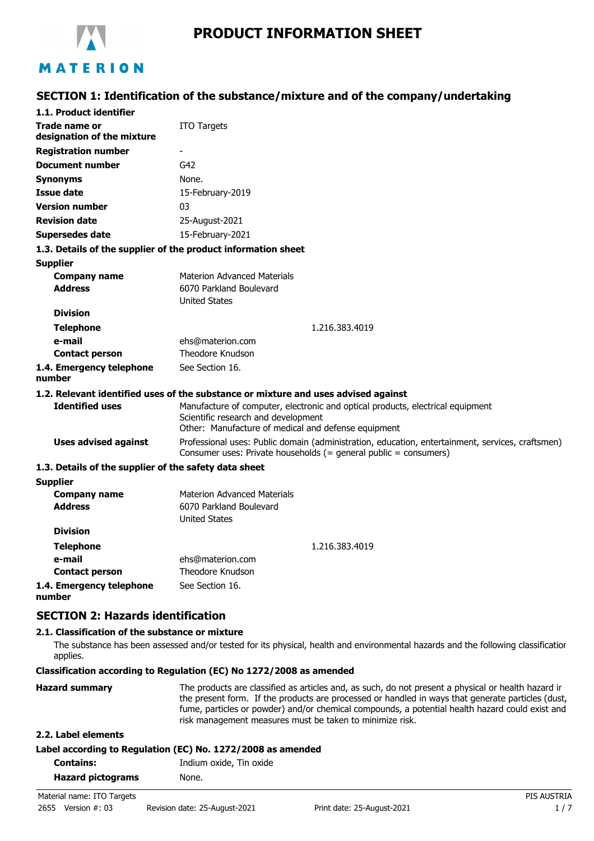

# MATERION

## **SECTION 1: Identification of the substance/mixture and of the company/undertaking**

| 1.1. Product identifier                               |                                                                                                                                                                              |  |
|-------------------------------------------------------|------------------------------------------------------------------------------------------------------------------------------------------------------------------------------|--|
| Trade name or<br>designation of the mixture           | <b>ITO Targets</b>                                                                                                                                                           |  |
| <b>Registration number</b>                            | $\overline{\phantom{a}}$                                                                                                                                                     |  |
| <b>Document number</b>                                | G42                                                                                                                                                                          |  |
| <b>Synonyms</b>                                       | None.                                                                                                                                                                        |  |
| Issue date                                            | 15-February-2019                                                                                                                                                             |  |
| <b>Version number</b>                                 | 03                                                                                                                                                                           |  |
| <b>Revision date</b>                                  | 25-August-2021                                                                                                                                                               |  |
| <b>Supersedes date</b>                                | 15-February-2021                                                                                                                                                             |  |
|                                                       | 1.3. Details of the supplier of the product information sheet                                                                                                                |  |
| <b>Supplier</b>                                       |                                                                                                                                                                              |  |
| <b>Company name</b>                                   | <b>Materion Advanced Materials</b>                                                                                                                                           |  |
| <b>Address</b>                                        | 6070 Parkland Boulevard                                                                                                                                                      |  |
|                                                       | <b>United States</b>                                                                                                                                                         |  |
| <b>Division</b>                                       |                                                                                                                                                                              |  |
| <b>Telephone</b>                                      | 1.216.383.4019                                                                                                                                                               |  |
| e-mail                                                | ehs@materion.com                                                                                                                                                             |  |
| <b>Contact person</b>                                 | Theodore Knudson                                                                                                                                                             |  |
| 1.4. Emergency telephone<br>number                    | See Section 16.                                                                                                                                                              |  |
|                                                       | 1.2. Relevant identified uses of the substance or mixture and uses advised against                                                                                           |  |
| <b>Identified uses</b>                                | Manufacture of computer, electronic and optical products, electrical equipment<br>Scientific research and development<br>Other: Manufacture of medical and defense equipment |  |
| <b>Uses advised against</b>                           | Professional uses: Public domain (administration, education, entertainment, services, craftsmen)<br>Consumer uses: Private households (= general public = consumers)         |  |
| 1.3. Details of the supplier of the safety data sheet |                                                                                                                                                                              |  |
| <b>Supplier</b>                                       |                                                                                                                                                                              |  |
| <b>Company name</b>                                   | <b>Materion Advanced Materials</b>                                                                                                                                           |  |
| <b>Address</b>                                        | 6070 Parkland Boulevard<br><b>United States</b>                                                                                                                              |  |
| <b>Division</b>                                       |                                                                                                                                                                              |  |
| <b>Telephone</b>                                      | 1.216.383.4019                                                                                                                                                               |  |
| e-mail                                                | ehs@materion.com                                                                                                                                                             |  |
| <b>Contact person</b>                                 | <b>Theodore Knudson</b>                                                                                                                                                      |  |

#### **1.4. Emergency telephone number** See Section 16.

### **SECTION 2: Hazards identification**

#### **2.1. Classification of the substance or mixture**

The substance has been assessed and/or tested for its physical, health and environmental hazards and the following classification applies.

#### **Classification according to Regulation (EC) No 1272/2008 as amended**

| <b>Hazard summary</b> | The products are classified as articles and, as such, do not present a physical or health hazard ir<br>the present form. If the products are processed or handled in ways that generate particles (dust, |  |  |
|-----------------------|----------------------------------------------------------------------------------------------------------------------------------------------------------------------------------------------------------|--|--|
|                       | fume, particles or powder) and/or chemical compounds, a potential health hazard could exist and<br>risk management measures must be taken to minimize risk.                                              |  |  |
|                       |                                                                                                                                                                                                          |  |  |

#### **2.2. Label elements**

|  | Label according to Regulation (EC) No. 1272/2008 as amended |
|--|-------------------------------------------------------------|
|--|-------------------------------------------------------------|

| <b>Contains:</b>         | Indium oxide, Tin oxide |
|--------------------------|-------------------------|
| <b>Hazard pictograms</b> | None.                   |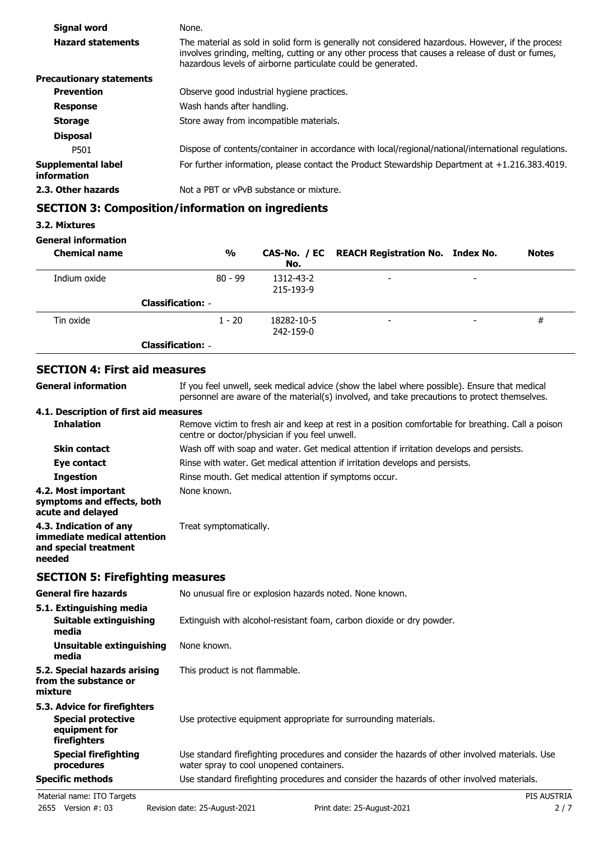| <b>Signal word</b>                | None.                                                                                                                                                                                                                                                                 |
|-----------------------------------|-----------------------------------------------------------------------------------------------------------------------------------------------------------------------------------------------------------------------------------------------------------------------|
| <b>Hazard statements</b>          | The material as sold in solid form is generally not considered hazardous. However, if the process<br>involves grinding, melting, cutting or any other process that causes a release of dust or fumes,<br>hazardous levels of airborne particulate could be generated. |
| <b>Precautionary statements</b>   |                                                                                                                                                                                                                                                                       |
| <b>Prevention</b>                 | Observe good industrial hygiene practices.                                                                                                                                                                                                                            |
| <b>Response</b>                   | Wash hands after handling.                                                                                                                                                                                                                                            |
| <b>Storage</b>                    | Store away from incompatible materials.                                                                                                                                                                                                                               |
| <b>Disposal</b>                   |                                                                                                                                                                                                                                                                       |
| P501                              | Dispose of contents/container in accordance with local/regional/national/international regulations.                                                                                                                                                                   |
| Supplemental label<br>information | For further information, please contact the Product Stewardship Department at $+1.216.383.4019$ .                                                                                                                                                                     |
| 2.3. Other hazards                | Not a PBT or vPvB substance or mixture.                                                                                                                                                                                                                               |

## **SECTION 3: Composition/information on ingredients**

### **3.2. Mixtures**

#### **General information**

| <b>Chemical name</b> | $\frac{0}{0}$            | No.                     | CAS-No. / EC REACH Registration No. Index No. |                          | <b>Notes</b> |
|----------------------|--------------------------|-------------------------|-----------------------------------------------|--------------------------|--------------|
| Indium oxide         | $80 - 99$                | 1312-43-2<br>215-193-9  | $\overline{\phantom{a}}$                      | $\overline{\phantom{0}}$ |              |
|                      | <b>Classification: -</b> |                         |                                               |                          |              |
| Tin oxide            | $1 - 20$                 | 18282-10-5<br>242-159-0 | -                                             | $\overline{\phantom{a}}$ | #            |
|                      | <b>Classification: -</b> |                         |                                               |                          |              |

## **SECTION 4: First aid measures**

| <b>General information</b>                                                               | If you feel unwell, seek medical advice (show the label where possible). Ensure that medical<br>personnel are aware of the material(s) involved, and take precautions to protect themselves. |
|------------------------------------------------------------------------------------------|----------------------------------------------------------------------------------------------------------------------------------------------------------------------------------------------|
| 4.1. Description of first aid measures                                                   |                                                                                                                                                                                              |
| <b>Inhalation</b>                                                                        | Remove victim to fresh air and keep at rest in a position comfortable for breathing. Call a poison<br>centre or doctor/physician if you feel unwell.                                         |
| <b>Skin contact</b>                                                                      | Wash off with soap and water. Get medical attention if irritation develops and persists.                                                                                                     |
| Eye contact                                                                              | Rinse with water. Get medical attention if irritation develops and persists.                                                                                                                 |
| <b>Ingestion</b>                                                                         | Rinse mouth. Get medical attention if symptoms occur.                                                                                                                                        |
| 4.2. Most important<br>symptoms and effects, both<br>acute and delayed                   | None known.                                                                                                                                                                                  |
| 4.3. Indication of any<br>immediate medical attention<br>and special treatment<br>needed | Treat symptomatically.                                                                                                                                                                       |

## **SECTION 5: Firefighting measures**

| <b>General fire hazards</b>                                                                | No unusual fire or explosion hazards noted. None known.                                                                                    |
|--------------------------------------------------------------------------------------------|--------------------------------------------------------------------------------------------------------------------------------------------|
| 5.1. Extinguishing media<br>Suitable extinguishing<br>media                                | Extinguish with alcohol-resistant foam, carbon dioxide or dry powder.                                                                      |
| Unsuitable extinguishing<br>media                                                          | None known.                                                                                                                                |
| 5.2. Special hazards arising<br>from the substance or<br>mixture                           | This product is not flammable.                                                                                                             |
| 5.3. Advice for firefighters<br><b>Special protective</b><br>equipment for<br>firefighters | Use protective equipment appropriate for surrounding materials.                                                                            |
| <b>Special firefighting</b><br>procedures                                                  | Use standard firefighting procedures and consider the hazards of other involved materials. Use<br>water spray to cool unopened containers. |
| <b>Specific methods</b>                                                                    | Use standard firefighting procedures and consider the hazards of other involved materials.                                                 |
| Material name: ITO Targets                                                                 | PIS AUSTRIA                                                                                                                                |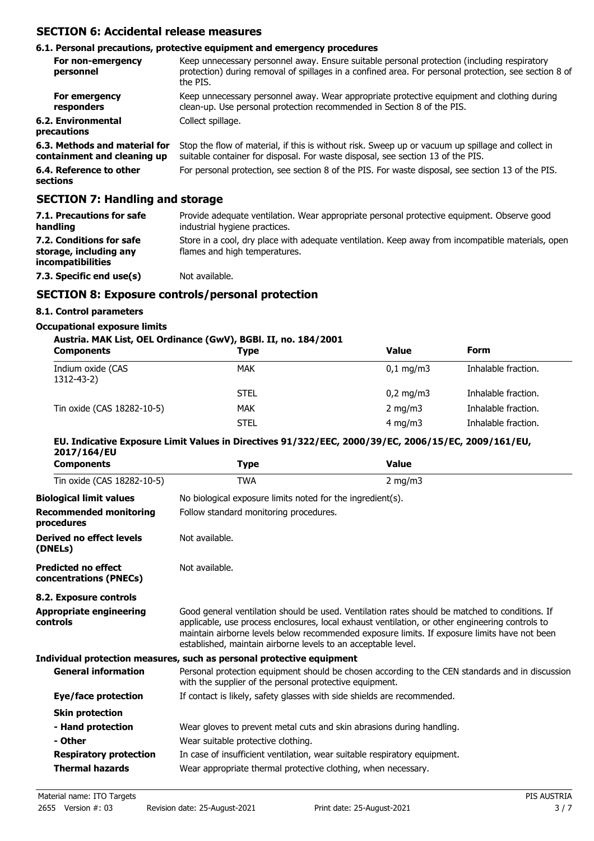### **SECTION 6: Accidental release measures**

#### **6.1. Personal precautions, protective equipment and emergency procedures**

| For non-emergency<br>personnel                               | Keep unnecessary personnel away. Ensure suitable personal protection (including respiratory<br>protection) during removal of spillages in a confined area. For personal protection, see section 8 of<br>the PIS. |
|--------------------------------------------------------------|------------------------------------------------------------------------------------------------------------------------------------------------------------------------------------------------------------------|
| For emergency<br>responders                                  | Keep unnecessary personnel away. Wear appropriate protective equipment and clothing during<br>clean-up. Use personal protection recommended in Section 8 of the PIS.                                             |
| 6.2. Environmental<br>precautions                            | Collect spillage.                                                                                                                                                                                                |
| 6.3. Methods and material for<br>containment and cleaning up | Stop the flow of material, if this is without risk. Sweep up or vacuum up spillage and collect in<br>suitable container for disposal. For waste disposal, see section 13 of the PIS.                             |
| 6.4. Reference to other<br>sections                          | For personal protection, see section 8 of the PIS. For waste disposal, see section 13 of the PIS.                                                                                                                |

## **SECTION 7: Handling and storage**

| 7.1. Precautions for safe<br>handling                                          | Provide adequate ventilation. Wear appropriate personal protective equipment. Observe good<br>industrial hygiene practices.        |
|--------------------------------------------------------------------------------|------------------------------------------------------------------------------------------------------------------------------------|
| 7.2. Conditions for safe<br>storage, including any<br><i>incompatibilities</i> | Store in a cool, dry place with adequate ventilation. Keep away from incompatible materials, open<br>flames and high temperatures. |
| 7.3. Specific end use(s)                                                       | Not available.                                                                                                                     |

#### **SECTION 8: Exposure controls/personal protection**

#### **8.1. Control parameters**

#### **Occupational exposure limits**

#### **Austria. MAK List, OEL Ordinance (GwV), BGBl. II, no. 184/2001**

| <b>Components</b>               | <b>Type</b> | Value              | <b>Form</b>         |  |
|---------------------------------|-------------|--------------------|---------------------|--|
| Indium oxide (CAS<br>1312-43-2) | <b>MAK</b>  | $0.1 \text{ mg/m}$ | Inhalable fraction. |  |
|                                 | <b>STEL</b> | $0,2 \text{ mg/m}$ | Inhalable fraction. |  |
| Tin oxide (CAS 18282-10-5)      | <b>MAK</b>  | $2 \text{ mg/m}$   | Inhalable fraction. |  |
|                                 | <b>STEL</b> | $4 \text{ mg/m}$   | Inhalable fraction. |  |

#### **EU. Indicative Exposure Limit Values in Directives 91/322/EEC, 2000/39/EC, 2006/15/EC, 2009/161/EU, 2017/164/EU**

| <b>Components</b>                                    | Type                                                                      | <b>Value</b>                                                                                                                                                                                                                                                                                      |  |
|------------------------------------------------------|---------------------------------------------------------------------------|---------------------------------------------------------------------------------------------------------------------------------------------------------------------------------------------------------------------------------------------------------------------------------------------------|--|
| Tin oxide (CAS 18282-10-5)                           | <b>TWA</b>                                                                | $2$ mg/m $3$                                                                                                                                                                                                                                                                                      |  |
| <b>Biological limit values</b>                       | No biological exposure limits noted for the ingredient(s).                |                                                                                                                                                                                                                                                                                                   |  |
| <b>Recommended monitoring</b><br>procedures          | Follow standard monitoring procedures.                                    |                                                                                                                                                                                                                                                                                                   |  |
| <b>Derived no effect levels</b><br>(DNELs)           | Not available.                                                            |                                                                                                                                                                                                                                                                                                   |  |
| <b>Predicted no effect</b><br>concentrations (PNECs) | Not available.                                                            |                                                                                                                                                                                                                                                                                                   |  |
| 8.2. Exposure controls                               |                                                                           |                                                                                                                                                                                                                                                                                                   |  |
| <b>Appropriate engineering</b><br>controls           | established, maintain airborne levels to an acceptable level.             | Good general ventilation should be used. Ventilation rates should be matched to conditions. If<br>applicable, use process enclosures, local exhaust ventilation, or other engineering controls to<br>maintain airborne levels below recommended exposure limits. If exposure limits have not been |  |
|                                                      | Individual protection measures, such as personal protective equipment     |                                                                                                                                                                                                                                                                                                   |  |
| <b>General information</b>                           | with the supplier of the personal protective equipment.                   | Personal protection equipment should be chosen according to the CEN standards and in discussion                                                                                                                                                                                                   |  |
| Eye/face protection                                  | If contact is likely, safety glasses with side shields are recommended.   |                                                                                                                                                                                                                                                                                                   |  |
| <b>Skin protection</b>                               |                                                                           |                                                                                                                                                                                                                                                                                                   |  |
| - Hand protection                                    | Wear gloves to prevent metal cuts and skin abrasions during handling.     |                                                                                                                                                                                                                                                                                                   |  |
| - Other                                              | Wear suitable protective clothing.                                        |                                                                                                                                                                                                                                                                                                   |  |
| <b>Respiratory protection</b>                        | In case of insufficient ventilation, wear suitable respiratory equipment. |                                                                                                                                                                                                                                                                                                   |  |
| <b>Thermal hazards</b>                               | Wear appropriate thermal protective clothing, when necessary.             |                                                                                                                                                                                                                                                                                                   |  |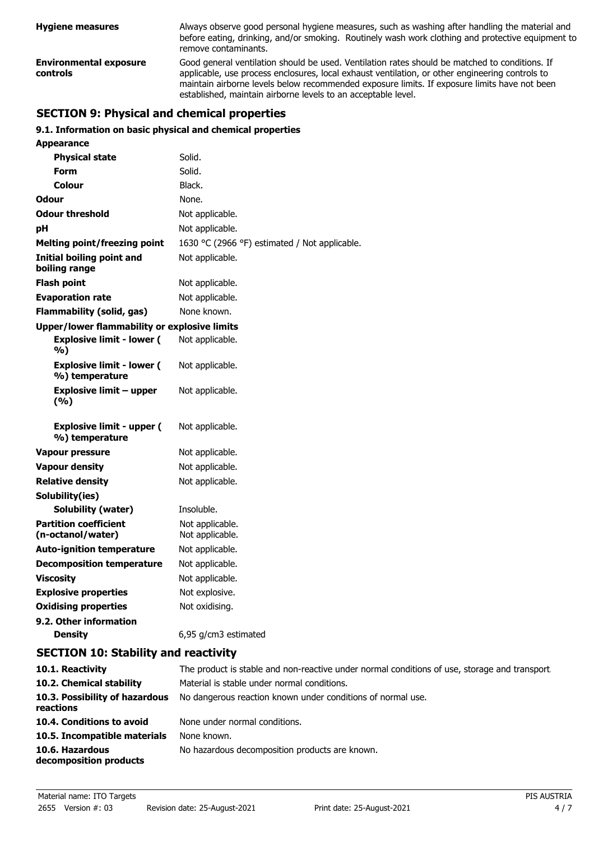| <b>Hygiene measures</b>                   | Always observe good personal hygiene measures, such as washing after handling the material and<br>before eating, drinking, and/or smoking. Routinely wash work clothing and protective equipment to<br>remove contaminants.                                                                                                                                        |  |
|-------------------------------------------|--------------------------------------------------------------------------------------------------------------------------------------------------------------------------------------------------------------------------------------------------------------------------------------------------------------------------------------------------------------------|--|
| <b>Environmental exposure</b><br>controls | Good general ventilation should be used. Ventilation rates should be matched to conditions. If<br>applicable, use process enclosures, local exhaust ventilation, or other engineering controls to<br>maintain airborne levels below recommended exposure limits. If exposure limits have not been<br>established, maintain airborne levels to an acceptable level. |  |

## **SECTION 9: Physical and chemical properties**

#### **9.1. Information on basic physical and chemical properties**

| Appearance                                          |                                               |
|-----------------------------------------------------|-----------------------------------------------|
| <b>Physical state</b>                               | Solid.                                        |
| <b>Form</b>                                         | Solid.                                        |
| Colour                                              | Black.                                        |
| Odour                                               | None.                                         |
| <b>Odour threshold</b>                              | Not applicable.                               |
| рH                                                  | Not applicable.                               |
| <b>Melting point/freezing point</b>                 | 1630 °C (2966 °F) estimated / Not applicable. |
| <b>Initial boiling point and</b><br>boiling range   | Not applicable.                               |
| <b>Flash point</b>                                  | Not applicable.                               |
| <b>Evaporation rate</b>                             | Not applicable.                               |
| <b>Flammability (solid, gas)</b>                    | None known.                                   |
| <b>Upper/lower flammability or explosive limits</b> |                                               |
| <b>Explosive limit - lower (</b><br>%)              | Not applicable.                               |
| <b>Explosive limit - lower (</b><br>%) temperature  | Not applicable.                               |
| <b>Explosive limit - upper</b><br>(%)               | Not applicable.                               |
| <b>Explosive limit - upper (</b><br>%) temperature  | Not applicable.                               |
| <b>Vapour pressure</b>                              | Not applicable.                               |
| <b>Vapour density</b>                               | Not applicable.                               |
| <b>Relative density</b>                             | Not applicable.                               |
| Solubility(ies)                                     |                                               |
| Solubility (water)                                  | Insoluble.                                    |
| <b>Partition coefficient</b><br>(n-octanol/water)   | Not applicable.<br>Not applicable.            |
| <b>Auto-ignition temperature</b>                    | Not applicable.                               |
| <b>Decomposition temperature</b>                    | Not applicable.                               |
| <b>Viscosity</b>                                    | Not applicable.                               |
| <b>Explosive properties</b>                         | Not explosive.                                |
| <b>Oxidising properties</b>                         | Not oxidising.                                |
| 9.2. Other information                              |                                               |

#### **Density** 6,95 g/cm3 estimated

## **SECTION 10: Stability and reactivity**

| 10.1. Reactivity                            | The product is stable and non-reactive under normal conditions of use, storage and transport. |
|---------------------------------------------|-----------------------------------------------------------------------------------------------|
| 10.2. Chemical stability                    | Material is stable under normal conditions.                                                   |
| 10.3. Possibility of hazardous<br>reactions | No dangerous reaction known under conditions of normal use.                                   |
| 10.4. Conditions to avoid                   | None under normal conditions.                                                                 |
| 10.5. Incompatible materials                | None known.                                                                                   |
| 10.6. Hazardous<br>decomposition products   | No hazardous decomposition products are known.                                                |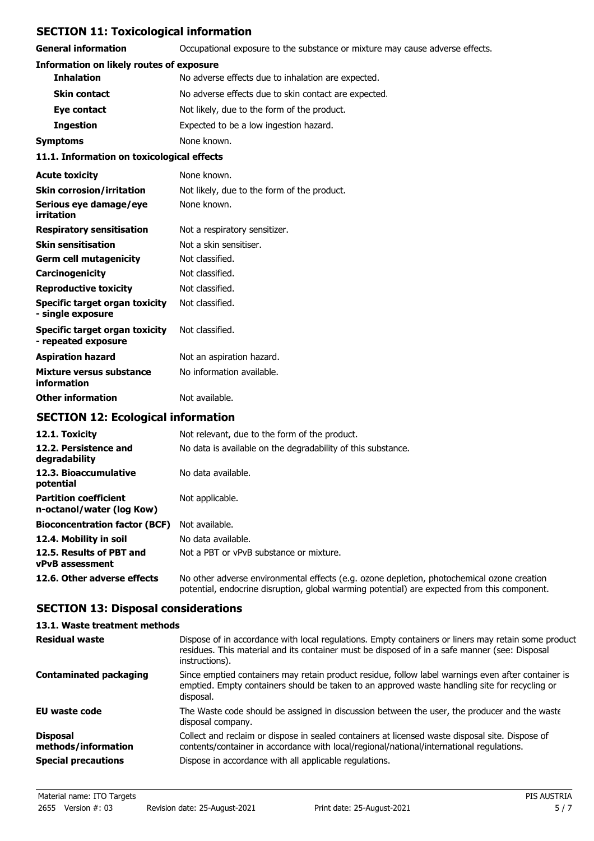## **SECTION 11: Toxicological information**

**General information CCCUPATION** Occupational exposure to the substance or mixture may cause adverse effects.

#### **Information on likely routes of exposure**

| 11.1. Information on toxicological effects |                                                      |  |
|--------------------------------------------|------------------------------------------------------|--|
| <b>Symptoms</b>                            | None known.                                          |  |
| <b>Ingestion</b>                           | Expected to be a low ingestion hazard.               |  |
| Eye contact                                | Not likely, due to the form of the product.          |  |
| <b>Skin contact</b>                        | No adverse effects due to skin contact are expected. |  |
| <b>Inhalation</b>                          | No adverse effects due to inhalation are expected.   |  |

#### **Acute toxicity** None known. **Skin corrosion/irritation** Not likely, due to the form of the product. **Serious eve damage/eve** None known. **irritation Respiratory sensitisation** Not a respiratory sensitizer. **Skin sensitisation** Not a skin sensitiser. **Germ cell mutagenicity** Not classified. **Carcinogenicity** Not classified. **Reproductive toxicity** Not classified. **Specific target organ toxicity - single exposure** Not classified. **Specific target organ toxicity - repeated exposure** Not classified. **Aspiration hazard** Not an aspiration hazard. **Mixture versus substance** No information available. **information**

## **Other information** Not available. **SECTION 12: Ecological information**

| 12.1. Toxicity                                            | Not relevant, due to the form of the product.                                                                                                                                              |
|-----------------------------------------------------------|--------------------------------------------------------------------------------------------------------------------------------------------------------------------------------------------|
| 12.2. Persistence and<br>degradability                    | No data is available on the degradability of this substance.                                                                                                                               |
| 12.3. Bioaccumulative<br>potential                        | No data available.                                                                                                                                                                         |
| <b>Partition coefficient</b><br>n-octanol/water (log Kow) | Not applicable.                                                                                                                                                                            |
| <b>Bioconcentration factor (BCF)</b>                      | Not available.                                                                                                                                                                             |
| 12.4. Mobility in soil                                    | No data available.                                                                                                                                                                         |
| 12.5. Results of PBT and<br><b>vPvB</b> assessment        | Not a PBT or vPvB substance or mixture.                                                                                                                                                    |
| 12.6. Other adverse effects                               | No other adverse environmental effects (e.g. ozone depletion, photochemical ozone creation<br>potential, endocrine disruption, global warming potential) are expected from this component. |

## **SECTION 13: Disposal considerations**

| 13.1. Waste treatment methods          |                                                                                                                                                                                                                        |
|----------------------------------------|------------------------------------------------------------------------------------------------------------------------------------------------------------------------------------------------------------------------|
| Residual waste                         | Dispose of in accordance with local regulations. Empty containers or liners may retain some product<br>residues. This material and its container must be disposed of in a safe manner (see: Disposal<br>instructions). |
| <b>Contaminated packaging</b>          | Since emptied containers may retain product residue, follow label warnings even after container is<br>emptied. Empty containers should be taken to an approved waste handling site for recycling or<br>disposal.       |
| EU waste code                          | The Waste code should be assigned in discussion between the user, the producer and the waste<br>disposal company.                                                                                                      |
| <b>Disposal</b><br>methods/information | Collect and reclaim or dispose in sealed containers at licensed waste disposal site. Dispose of<br>contents/container in accordance with local/regional/national/international regulations.                            |
| <b>Special precautions</b>             | Dispose in accordance with all applicable regulations.                                                                                                                                                                 |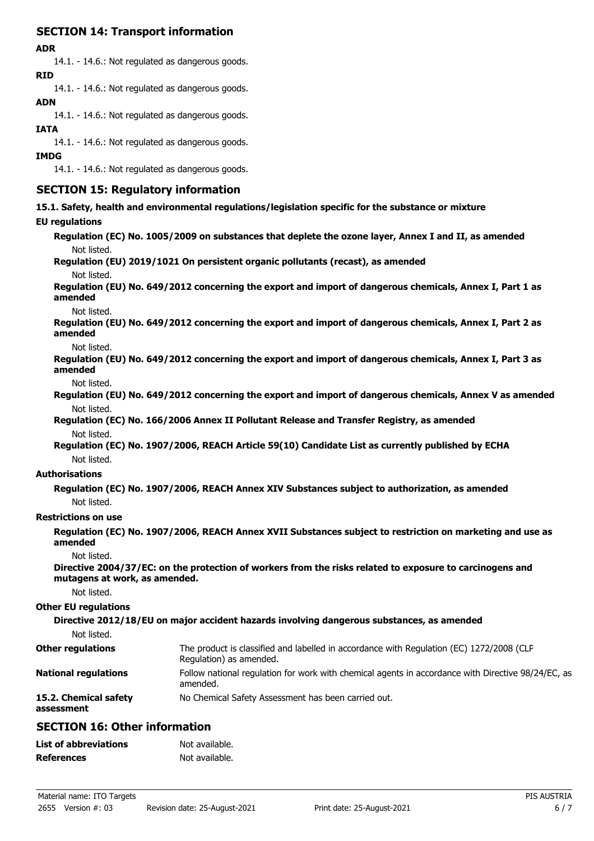## **SECTION 14: Transport information**

#### **ADR**

14.1. - 14.6.: Not regulated as dangerous goods. **RID**

14.1. - 14.6.: Not regulated as dangerous goods.

#### **ADN**

14.1. - 14.6.: Not regulated as dangerous goods.

#### **IATA**

14.1. - 14.6.: Not regulated as dangerous goods.

#### **IMDG**

14.1. - 14.6.: Not regulated as dangerous goods.

## **SECTION 15: Regulatory information**

**15.1. Safety, health and environmental regulations/legislation specific for the substance or mixture**

#### **EU regulations**

**Regulation (EC) No. 1005/2009 on substances that deplete the ozone layer, Annex I and II, as amended** Not listed. **Regulation (EU) 2019/1021 On persistent organic pollutants (recast), as amended**

Not listed.

**Regulation (EU) No. 649/2012 concerning the export and import of dangerous chemicals, Annex I, Part 1 as amended**

Not listed.

**Regulation (EU) No. 649/2012 concerning the export and import of dangerous chemicals, Annex I, Part 2 as amended**

Not listed.

**Regulation (EU) No. 649/2012 concerning the export and import of dangerous chemicals, Annex I, Part 3 as amended**

Not listed.

**Regulation (EU) No. 649/2012 concerning the export and import of dangerous chemicals, Annex V as amended** Not listed.

**Regulation (EC) No. 166/2006 Annex II Pollutant Release and Transfer Registry, as amended** Not listed.

**Regulation (EC) No. 1907/2006, REACH Article 59(10) Candidate List as currently published by ECHA** Not listed.

#### **Authorisations**

**Regulation (EC) No. 1907/2006, REACH Annex XIV Substances subject to authorization, as amended** Not listed.

#### **Restrictions on use**

**Regulation (EC) No. 1907/2006, REACH Annex XVII Substances subject to restriction on marketing and use as amended**

Not listed.

**Directive 2004/37/EC: on the protection of workers from the risks related to exposure to carcinogens and mutagens at work, as amended.**

Not listed.

#### **Other EU regulations**

**Directive 2012/18/EU on major accident hazards involving dangerous substances, as amended**

Not listed.

| <b>Other regulations</b>            | The product is classified and labelled in accordance with Regulation (EC) 1272/2008 (CLP<br>Regulation) as amended. |
|-------------------------------------|---------------------------------------------------------------------------------------------------------------------|
| <b>National regulations</b>         | Follow national regulation for work with chemical agents in accordance with Directive 98/24/EC, as<br>amended.      |
| 15.2. Chemical safety<br>assessment | No Chemical Safety Assessment has been carried out.                                                                 |

## **SECTION 16: Other information**

| <b>List of abbreviations</b> | Not available. |
|------------------------------|----------------|
| <b>References</b>            | Not available. |